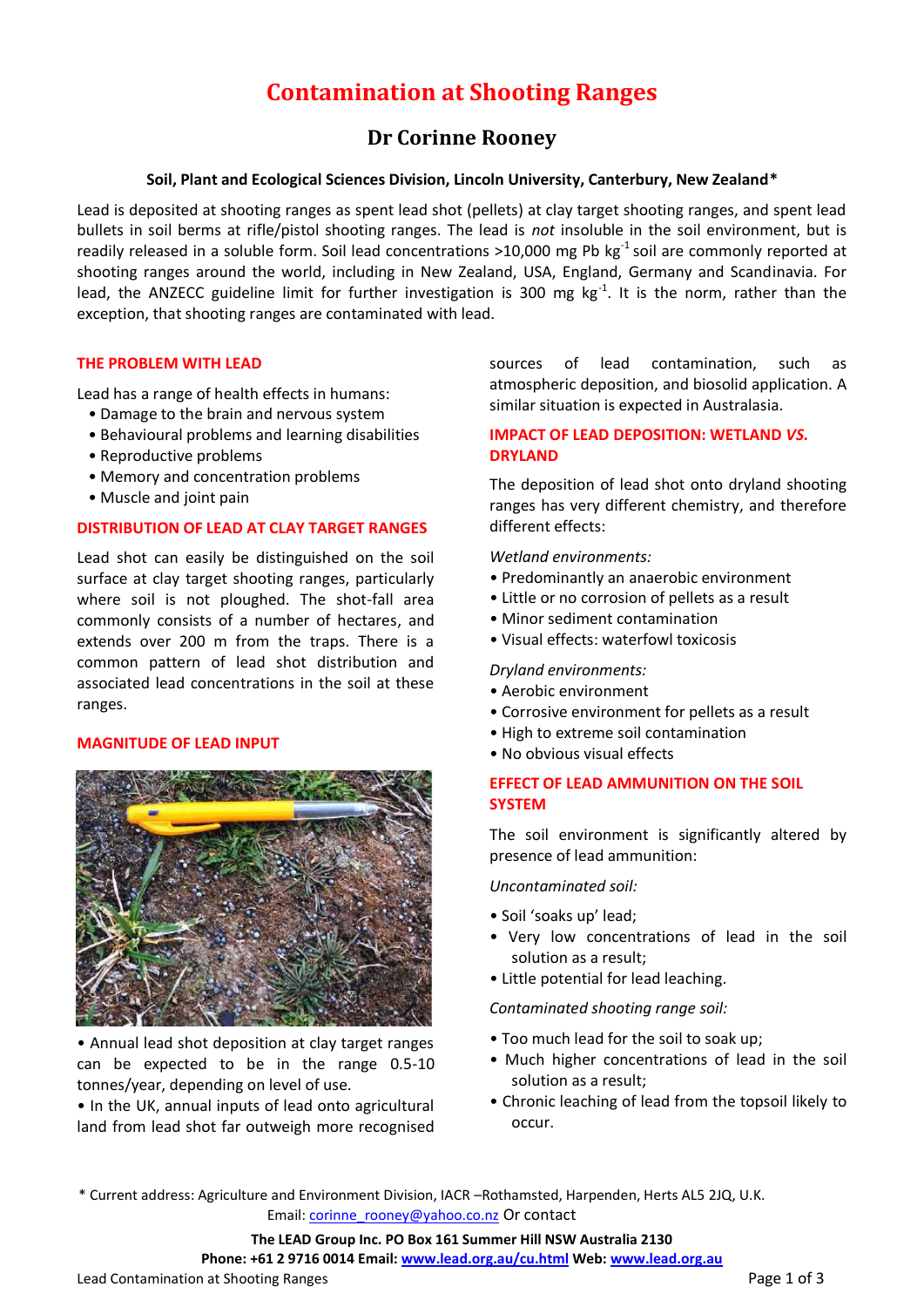# **Contamination at Shooting Ranges**

## **Dr Corinne Rooney**

## **Soil, Plant and Ecological Sciences Division, Lincoln University, Canterbury, New Zealand\***

Lead is deposited at shooting ranges as spent lead shot (pellets) at clay target shooting ranges, and spent lead bullets in soil berms at rifle/pistol shooting ranges. The lead is *not* insoluble in the soil environment, but is readily released in a soluble form. Soil lead concentrations >10,000 mg Pb  $kg^{-1}$  soil are commonly reported at shooting ranges around the world, including in New Zealand, USA, England, Germany and Scandinavia. For lead, the ANZECC guideline limit for further investigation is 300 mg  $kg^{-1}$ . It is the norm, rather than the exception, that shooting ranges are contaminated with lead.

#### **THE PROBLEM WITH LEAD**

Lead has a range of health effects in humans:

- Damage to the brain and nervous system
- Behavioural problems and learning disabilities
- Reproductive problems
- Memory and concentration problems
- Muscle and joint pain

#### **DISTRIBUTION OF LEAD AT CLAY TARGET RANGES**

Lead shot can easily be distinguished on the soil surface at clay target shooting ranges, particularly where soil is not ploughed. The shot-fall area commonly consists of a number of hectares, and extends over 200 m from the traps. There is a common pattern of lead shot distribution and associated lead concentrations in the soil at these ranges.

#### **MAGNITUDE OF LEAD INPUT**



• Annual lead shot deposition at clay target ranges can be expected to be in the range 0.5-10 tonnes/year, depending on level of use.

• In the UK, annual inputs of lead onto agricultural land from lead shot far outweigh more recognised sources of lead contamination, such as atmospheric deposition, and biosolid application. A similar situation is expected in Australasia.

## **IMPACT OF LEAD DEPOSITION: WETLAND** *VS.*  **DRYLAND**

The deposition of lead shot onto dryland shooting ranges has very different chemistry, and therefore different effects:

*Wetland environments:*

- Predominantly an anaerobic environment
- Little or no corrosion of pellets as a result
- Minor sediment contamination
- Visual effects: waterfowl toxicosis

#### *Dryland environments:*

- Aerobic environment
- Corrosive environment for pellets as a result
- High to extreme soil contamination
- No obvious visual effects

## **EFFECT OF LEAD AMMUNITION ON THE SOIL SYSTEM**

The soil environment is significantly altered by presence of lead ammunition:

*Uncontaminated soil:*

- Soil 'soaks up' lead;
- Very low concentrations of lead in the soil solution as a result;
- Little potential for lead leaching.

*Contaminated shooting range soil:*

- Too much lead for the soil to soak up;
- Much higher concentrations of lead in the soil solution as a result;
- Chronic leaching of lead from the topsoil likely to occur.

\* Current address: Agriculture and Environment Division, IACR –Rothamsted, Harpenden, Herts AL5 2JQ, U.K. Email[: corinne\\_rooney@yahoo.co.nz](mailto:corinne_rooney@yahoo.co.nz) Or contact

#### **The LEAD Group Inc. PO Box 161 Summer Hill NSW Australia 2130**

**Phone: +61 2 9716 0014 Email[: www.lead.org.au/cu.html](http://www.lead.org.au/cu.html) Web[: www.lead.org.au](http://www.lead.org.au/)**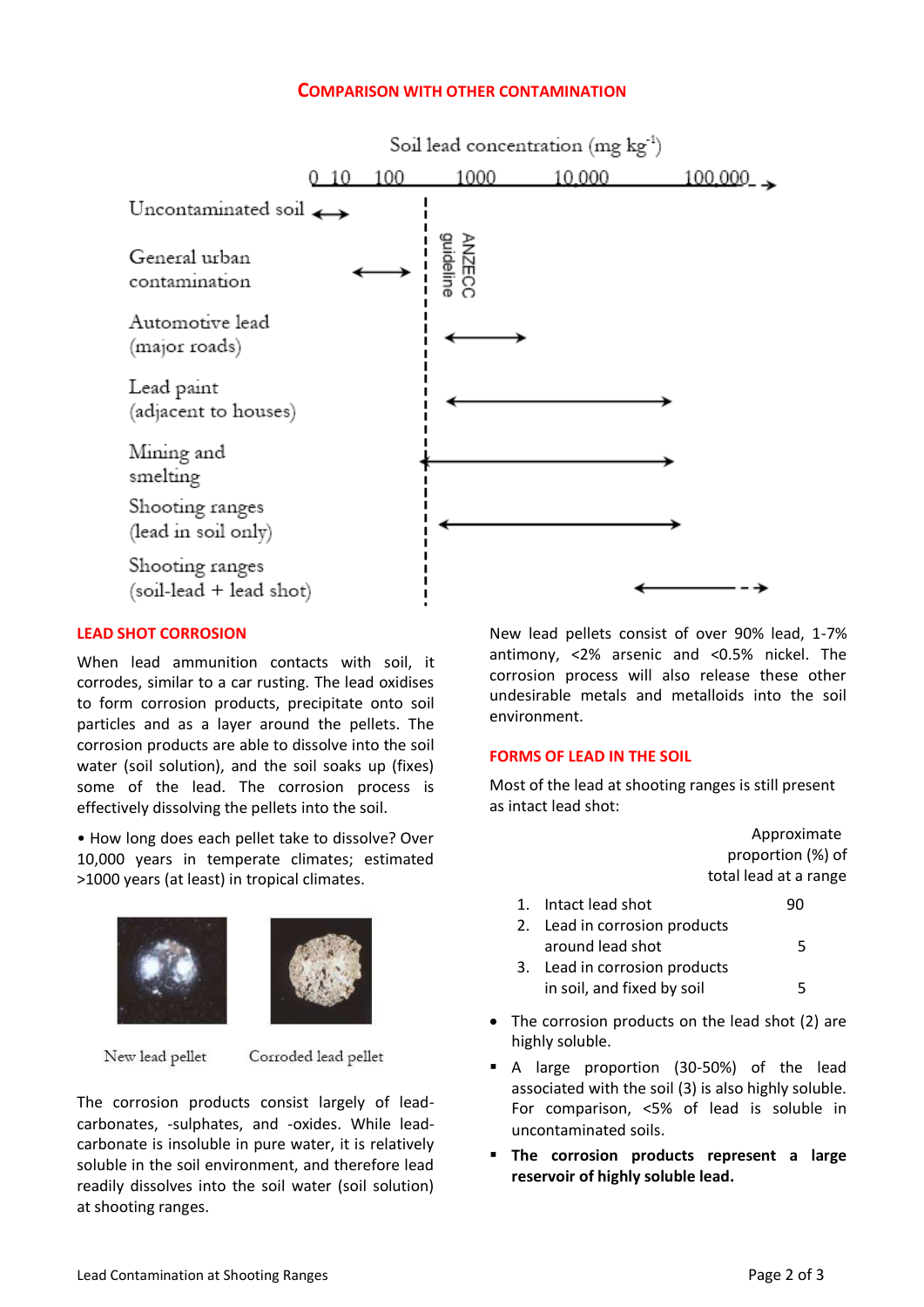## **COMPARISON WITH OTHER CONTAMINATION**



## **LEAD SHOT CORROSION**

When lead ammunition contacts with soil, it corrodes, similar to a car rusting. The lead oxidises to form corrosion products, precipitate onto soil particles and as a layer around the pellets. The corrosion products are able to dissolve into the soil water (soil solution), and the soil soaks up (fixes) some of the lead. The corrosion process is effectively dissolving the pellets into the soil.

• How long does each pellet take to dissolve? Over 10,000 years in temperate climates; estimated >1000 years (at least) in tropical climates.



New lead pellet

Corroded lead pellet

The corrosion products consist largely of leadcarbonates, -sulphates, and -oxides. While leadcarbonate is insoluble in pure water, it is relatively soluble in the soil environment, and therefore lead readily dissolves into the soil water (soil solution) at shooting ranges.

New lead pellets consist of over 90% lead, 1-7% antimony, <2% arsenic and <0.5% nickel. The corrosion process will also release these other undesirable metals and metalloids into the soil environment.

#### **FORMS OF LEAD IN THE SOIL**

Most of the lead at shooting ranges is still present as intact lead shot:

|    |                            | Approximate                                                                                                                          |
|----|----------------------------|--------------------------------------------------------------------------------------------------------------------------------------|
|    |                            | proportion (%) of                                                                                                                    |
|    |                            | total lead at a range                                                                                                                |
| 1. | Intact lead shot           | 90                                                                                                                                   |
|    |                            |                                                                                                                                      |
|    | around lead shot           | 5                                                                                                                                    |
|    |                            |                                                                                                                                      |
|    | in soil, and fixed by soil | 5                                                                                                                                    |
|    |                            |                                                                                                                                      |
|    |                            | 2. Lead in corrosion products<br>3. Lead in corrosion products<br>The corrosion products on the lead shot (2) are<br>highly soluble. |

- A large proportion (30-50%) of the lead associated with the soil (3) is also highly soluble. For comparison, <5% of lead is soluble in uncontaminated soils.
- **The corrosion products represent a large reservoir of highly soluble lead.**